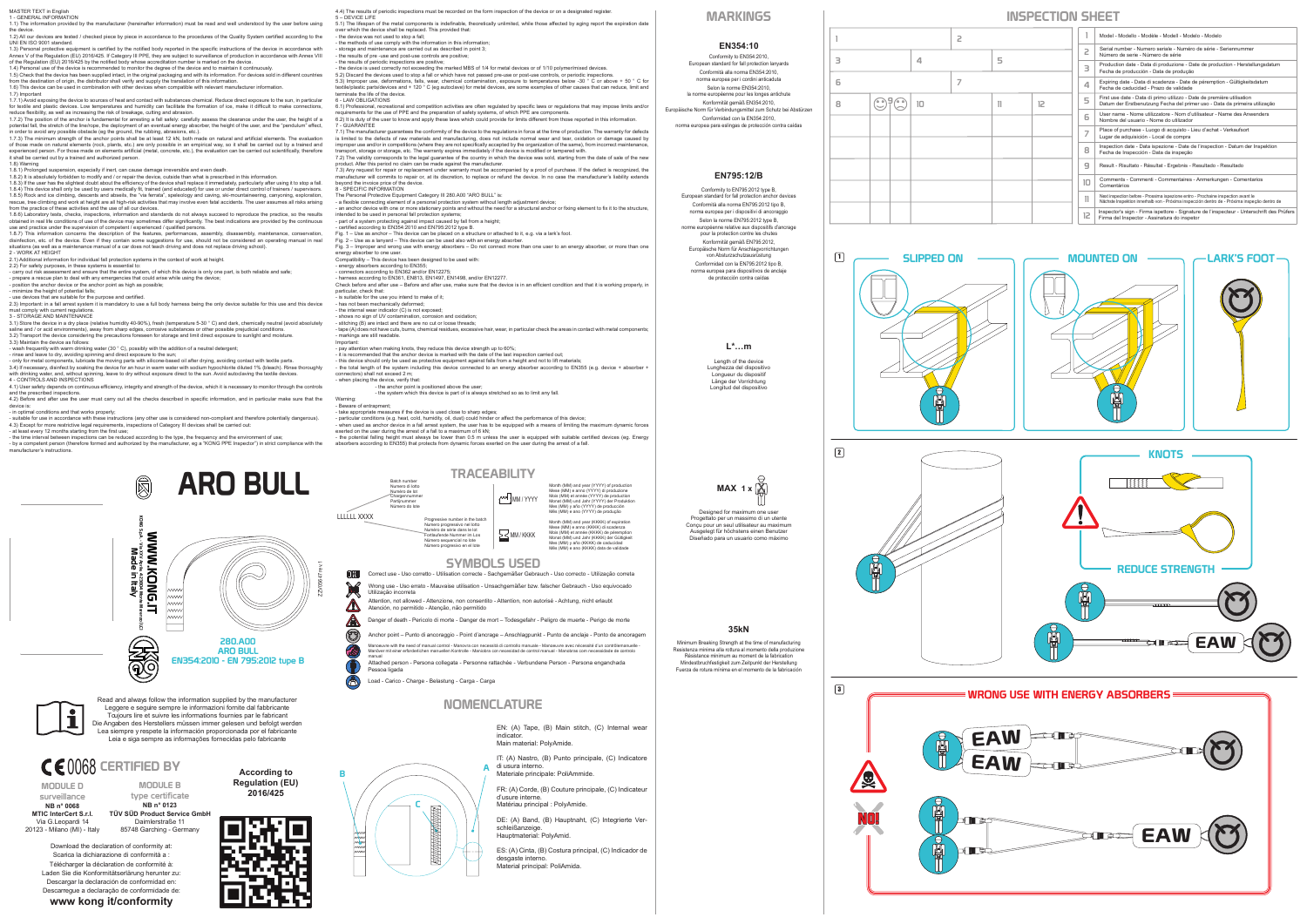MASTER TEXT in English

# 1 - GENERAL INFORMATION 1.1) The information provided by the manufacturer (hereinafter information) must be read and well understood by the user before using

the device. 1.2) All our devices are tested / checked piece by piece in accordance to the procedures of the Quality System certified according to the

UNI EN ISO 9001 standard.<br>1.3) Personal protective equipment is certified by the notified body reported in the specific instructions of the device in accordance with<br>Annex V of the Regulation (EU) 2016/425. If Category III

1.4) Personal use of the device is recommended to monitor the degree of the device and to maintain it continuously.<br>1.5) Check that the device has been supplied intact, in the original packaging and with its information. F

1.6) This device can be used in combination with other devices when compatible with relevant manufacturer information.

1.7) Important<br>1.7.1) Avoid exposing the device to sources of heat and contact with substances chemical. Reduce direct exposure to the sun, in particular

1.7.1) Avoid exposing the device to sources of heat and condact with substances chemical. Reduce direct exposuer to the sun, in particular for the state and plastic devices. Low temperatures and humidity can facilitate the

1.8) Warning<br>1.8.1) Prolonged suspension, especially if inert, can cause damage irreversible and even death.<br>1.8.2) It is absolutely forbidden to modify and / or repair the device, outside than what is prescribed in this i

- rinse and leave to dry, avoiding spinning and direct exposure to the sun;<br>- only for metal components, lubricate the moving parts with silicone-based oil after drying, avoiding contact with textile parts.<br>3.4) If necessa with drinking water, and, without spinning, leave to dry without exposure direct to the sun. Avoid autoclaving the textile devices. 4 - CONTROLS AND INSPECTIONS

4.1) User safety depends on continuous efficiency, integrity and strength of the device, which it is necessary to monitor through the controls and the prescribed inspections.<br>
and the prescribed inspections.<br>
4.2) Before and after use the user must carry out all the checks described in specific information, and in particular make sure that the

4.2) Before and after use the user must carry out all the checks described in specific information, and in particular make sure that the device is:<br>- in optimal conditions and that works properly;<br>- suitable for use in acc

1.8.3) If the user has the slightest doubt about the efficiency of the device shall replace it immediately, particularly after using it to stop a fall. 1.8.4) This device shall only be used by users medically fit, trained (and educated) for use or under direct control of trainers / supervisors.<br>1.8.5) Rock and ice climbing, descents and abseils, the "via ferrata", speleol rescue, tree climbing and work at height are all high-risk activities that may involve even fatal accidents. The user assumes all risks arising from the practice of these activities and the use of all our devices.

1.8.0) Laboratory tests, checks, inspections, information and standards do not always succeed to reproduce the practice, so the results<br>obtained in real life conditions of use of the device may sometimes differ significant

2.1) Additional information for individual fall protection systems in the context of work at height.<br>2.2) For safety purposes, in these systems is essential to:<br>- carry out risk assessment and ensure that the entire system

6.1) Professional, recreational and competition activities are often regulated by specific laws or regulations that may impose limits and/or requirements for the use of PPE and the preparation of safety systems, of which PPE are components.<br>6.2) It is duty of the user to know and apply these laws which could provide for limits different from those reported in t

7 - GUARANTEE<br>
To - GUARANTEE and the conformity of the device to the regulations in force at the time of production. The warranty for defects<br>
is limited to the defects of raw materials and manufacturing, does not include

product. After this period no claim can be made against the manufacturer.<br>7.3) Any request for repair or replacement under warranty must be accompanied by a proof of purchase. If the defect is recognized, the

- prepare a rescue plan to deal with any emergencies that could arise while using the device; - position the anchor device or the anchor point as high as possible; - minimize the height of potential falls;

- use devices that are suitable for the purpose and certified.

2.3) Important: in a fall arrest system it is mandatory to use a full body harness being the only device suitable for this use and this device

must comply with current regulations.<br>3 - STORAGE AND MAINTENANCE

3 - STORAGE AND MAINTENANCE<br>3.1) Store the device in a dry place (relative humidity 40-90%), fresh (temperature 5-30 ° C) and dark, chemically neutral (avoid absolutely<br>saline and / or acid environments), away from sharp e

- wash frequently with warm drinking water (30 ° C), possibly with the addition of a neutral detergent;

- it is recommended that the anchor device is marked with the date of the last inspection carried out;<br>- this device should only be used as protective equipment against falls from a height and not to lift materials;<br>- the connectors) shall not exceed 2 m;

when placing the device, verify that

manufacturer's instructions.

Designed for maximum one use Progettato per un massimo di un utente Conçu pour un seul utilisateur au maximum Ausgelegt für höchstens einen Benutzer Diseñado para un usuario como máximo **MAX 1 x**

Read and always follow the information supplied by the manufacture Leggere e seguire sempre le informazioni fornite dal fabbricante Toujours lire et suivre les informations fournies par le fabricant Die Angaben des Herstellers müssen immer gelesen und befolgt werden Lea siempre y respete la información proporcionada por el fabricante Leia e siga sempre as informações fornecidas pelo fabricante

manufacturer will commits to repair or, at its discretion, to replace or refund the device. In no case the manufacturer's liability extends beyond the invoice price of the device.

8 - SPECIFIC INFORMATION<br>8 - SPECIFIC INFORMATION<br>The Personal Protective Equipment Category III 280.A00 "ARO BULL" is:

The Personal Protective Equipment Category III 280.A00 "ARO BULL" is:<br>- a flexible connecting element of a personal protection system without length adjustment device;<br>- an anchor device with one or more stationary points

energy absorber to one user.

Compatibility – This device has been designed to be used with: - energy absorbers according to EN355; - connectors according to EN362 and/or EN12275;

- harness according to EN361, EN813, EN1497, EN1498, and/or EN12277. Check before and after use – Before and after use, make sure that the device is in an efficient condition and that it is working properly, in

particular, check that:<br>- is suitable for the use you intend to make of it:

- is suitable for the use you intend to make of it;<br>- has not been mechanically deformed;<br>- the internal wear indicator (C) is not exposed;<br>- shows no sign of UV contamination, corrosion and oxidation;<br>- stitching (B) are

- pay attention when making knots, they reduce this device strength up to 60%;

- the anchor point is positioned above the user; - the system which this device is part of is always stretched so as to limit any fall.

- 
- 

EN: (A) Tape, (B) Main stitch, (C) Internal wear indicator. Main material: PolyAmide.

IT: (A) Nastro, (B) Punto principale, (C) Indicatore di usura interno. Materiale principale: PoliAmmide.

FR: (A) Corde, (B) Couture principale, (C) Indicateur d'usure interne. Matériau principal : PolyAmide.

DE: (A) Band, (B) Hauptnaht, (C) Integrierte Verschleißanzeige. Hauptmaterial: PolyAmid.



ES: (A) Cinta, (B) Costura principal, (C) Indicador de desgaste interno. Material principal: PoliAmida.





C

III

**Contrained** 

 $\overline{B}$   $\overline{A}$ 

- Warning:<br>- Beware of entrapment;<br>- particular conditions (e.g. heat, cold, humidity, oil, dust) could hideer or affect the performance of this device;<br>- particular conditions (e.g. heat, cold, humidity, oil, dust) could hi
- 

|        |  |  |    | 2 |    |    |   |                                                                                                      | Model - Modello - Modèle - Modell - Modelo - Modelo                                                                                                                               |
|--------|--|--|----|---|----|----|---|------------------------------------------------------------------------------------------------------|-----------------------------------------------------------------------------------------------------------------------------------------------------------------------------------|
| 4<br>3 |  |  | 5  |   |    |    | 2 | Serial number - Numero seriale - Numéro de série - Seriennummer<br>Número de serie - Número de série |                                                                                                                                                                                   |
|        |  |  |    |   |    |    |   | з                                                                                                    | Production date - Data di produzione - Date de production - Herstellungsdatum<br>Fecha de producción - Data de produção                                                           |
| 6      |  |  |    |   |    |    |   | 4                                                                                                    | Expiring date - Data di scadenza - Date de péremption - Gültigkeitsdatum<br>Fecha de caducidad - Prazo de validade                                                                |
| 8      |  |  | 10 |   | 11 | 12 |   | 5                                                                                                    | First use date - Data di primo utilizzo - Date de première utilisation<br>Datum der Erstbenutzung Fecha del primer uso - Data da primeira utilização                              |
|        |  |  |    |   |    |    |   | 6                                                                                                    | User name - Nome utilizzatore - Nom d'utilisateur - Name des Anwenders<br>Nombre del usuario - Nome do utilizador                                                                 |
|        |  |  |    |   |    |    |   | $\overline{ }$                                                                                       | Place of purchase - Luogo di acquisto - Lieu d'achat - Verkaufsort<br>Lugar de adquisición - Local de compra                                                                      |
|        |  |  |    |   |    |    |   | 8                                                                                                    | Inspection date - Data ispezione - Date de l'inspection - Datum der Inspektion<br>Fecha de Inspección - Data da inspeção                                                          |
|        |  |  |    |   |    |    |   | 9                                                                                                    | Result - Risultato - Résultat - Ergebnis - Resultado - Resultado                                                                                                                  |
|        |  |  |    |   |    |    |   | 10                                                                                                   | Comments - Commenti - Commentaires - Anmerkungen - Comentarios<br>Comentários                                                                                                     |
|        |  |  |    |   |    |    |   | 11                                                                                                   | Next inspection before - Prossima ispezione entro - Prochaine inspection avant le<br>Nächste Inspektion innerhalb von - Próxima inspección dentro de - Próxima inspecão dentro de |
|        |  |  |    |   |    |    |   | 12                                                                                                   | Inspector's sign - Firma ispettore - Signature de l'inspecteur - Unterschrift des Prüfers<br>Firma del Inspector - Assinatura do inspetor                                         |



1

2

3

零





Conformity to EN354:2010, European standard for fall protection lanyards Conformità alla norma EN354:2010, norma europea per i cordini anticaduta Selon la norme EN354:2010, la norme européenne pour les longes antichute Konformität gemäß EN354:2010, Europäische Norm für Verbindungsmittel zum Schutz bei Abstürzen Conformidad con la EN354:2010, norma europea para eslingas de protección contra caídas

### **EN354:10**

### **EN795:12/B**

Conformity to EN795:2012 type B, European standard for fall protection anchor devices Conformità alla norma EN795:2012 tipo B, norma europea per i dispositivi di anc Selon la norme EN795:2012 type B, norme européenne relative aux dispositifs d'ancrage pour la protection contre les chutes Konformität gemäß EN795:2012, Europäische Norm für Anschlagvorrichtungen von Absturzschutzausrüstung Conformidad con la EN795:2012 tipo B, norma europea para dispositivos de anclaje de protección contra caídas

### **L\*…m**

Length of the device Lunghezza del dispositivo Longueur du dispositif Länge der Vorrichtung Longitud del dispositivo

**35kN** Minimum Breaking Strength at the time of manufacturing Resistenza minima alla rottura al momento della produzione Résistance minimum au moment de la fabrication Mindestbruchfestigkeit zum Zeitpunkt der Herstellung Fuerza de rotura mínima en el momento de la fabricación

## MARKINGS THE RESERVE INSPECTION SHEET

Download the declaration of conformity at: Scarica la dichiarazione di conformità a : Télécharger la déclaration de conformité à: Laden Sie die Konformitätserlärung herunter zu: Descargar la declaración de conformidad en: Descarregue a declaração de conformidade de: **www kong it/conformity**



MODULE B type certificate

**NB n° 0068** MODULE D surveillance

# 0068 CERTIFIED BY **According to**

**MTIC InterCert S.r.l.** Via G.Leopardi 14 20123 - Milano (MI) - Italy **NB n° 0123 TÜV SÜD Product Service GmbH** Daimlerstraße 11 85748 Garching - Germany

**Regulation (EU) 2016/425**

4.4) The results of periodic inspections must be recorded on the form inspection of the device or on a designated register.<br>5 - DEVICE LIFE<br>0.5 - DEVICE LIFE<br>0.1) The lifespan of the metal components is indefinable, theore

- the device is used correctly not exceeding the marked MBS of 1/4 for metal devices or of 1/10 polymer/mixed devices.<br>5.2) Discard the devices used to stop a fall or which have not passed pre-use or post-use controls, or textile/plastic parts/devices and + 120 ° C (eg autoclave) for metal devices, are some examples of other causes that can reduce, limit and terminate the life of the device. 6 - LAW OBLIGATIONS